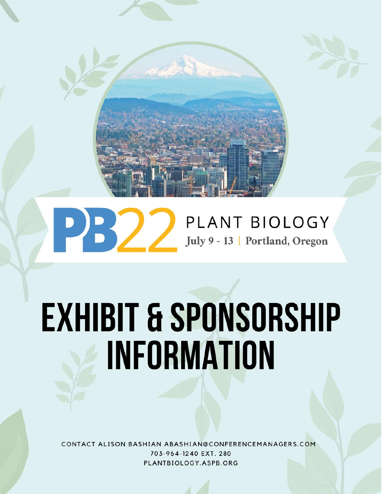

# PLANT BIOLOGY July 9 - 13 | Portland, Oregon

# **EXHIBIT & SPONSORSHIP INFORMATION**

CONTACT ALISON BASHIAN ABASHIAN@CONFERENCEMANAGERS.COM 703-964-1240 EXT. 280 PLANTBIOLOGY.ASPB.ORG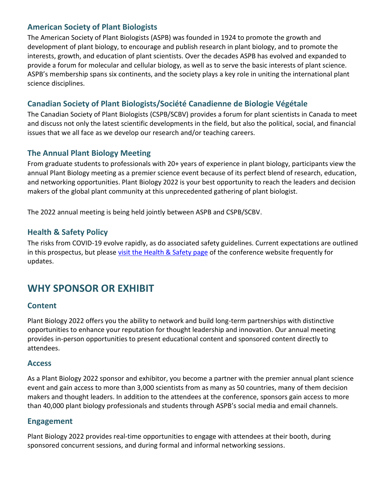#### **American Society of Plant Biologists**

The American Society of Plant Biologists (ASPB) was founded in 1924 to promote the growth and development of plant biology, to encourage and publish research in plant biology, and to promote the interests, growth, and education of plant scientists. Over the decades ASPB has evolved and expanded to provide a forum for molecular and cellular biology, as well as to serve the basic interests of plant science. ASPB's membership spans six continents, and the society plays a key role in uniting the international plant science disciplines.

#### **Canadian Society of Plant Biologists/Société Canadienne de Biologie Végétale**

The Canadian Society of Plant Biologists (CSPB/SCBV) provides a forum for plant scientists in Canada to meet and discuss not only the latest scientific developments in the field, but also the political, social, and financial issues that we all face as we develop our research and/or teaching careers.

#### **The Annual Plant Biology Meeting**

From graduate students to professionals with 20+ years of experience in plant biology, participants view the annual Plant Biology meeting as a premier science event because of its perfect blend of research, education, and networking opportunities. Plant Biology 2022 is your best opportunity to reach the leaders and decision makers of the global plant community at this unprecedented gathering of plant biologist.

The 2022 annual meeting is being held jointly between ASPB and CSPB/SCBV.

#### **Health & Safety Policy**

The risks from COVID-19 evolve rapidly, as do associated safety guidelines. Current expectations are outlined in this prospectus, but please [visit the Health & Safety page](https://plantbiology.aspb.org/covid-19-updates/) of the conference website frequently for updates.

### **WHY SPONSOR OR EXHIBIT**

#### **Content**

Plant Biology 2022 offers you the ability to network and build long-term partnerships with distinctive opportunities to enhance your reputation for thought leadership and innovation. Our annual meeting provides in-person opportunities to present educational content and sponsored content directly to attendees.

#### **Access**

As a Plant Biology 2022 sponsor and exhibitor, you become a partner with the premier annual plant science event and gain access to more than 3,000 scientists from as many as 50 countries, many of them decision makers and thought leaders. In addition to the attendees at the conference, sponsors gain access to more than 40,000 plant biology professionals and students through ASPB's social media and email channels.

#### **Engagement**

Plant Biology 2022 provides real-time opportunities to engage with attendees at their booth, during sponsored concurrent sessions, and during formal and informal networking sessions.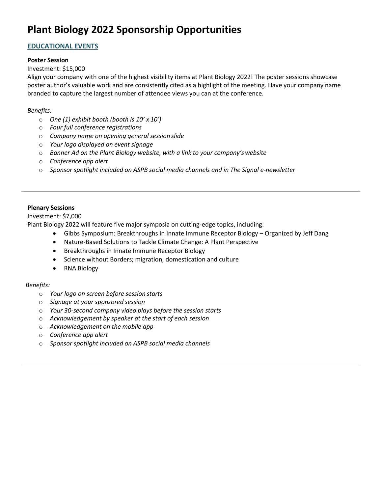## **Plant Biology 2022 Sponsorship Opportunities**

#### **EDUCATIONAL EVENTS**

#### **Poster Session**

#### Investment: \$15,000

Align your company with one of the highest visibility items at Plant Biology 2022! The poster sessions showcase poster author's valuable work and are consistently cited as a highlight of the meeting. Have your company name branded to capture the largest number of attendee views you can at the conference.

#### *Benefits:*

- o *One (1) exhibit booth (booth is 10' x 10')*
- o *Four full conference registrations*
- o *Company name on opening general session slide*
- o *Your logo displayed on event signage*
- o *Banner Ad on the Plant Biology website, with a link to your company'swebsite*
- o *Conference app alert*
- o *Sponsor spotlight included on ASPB social media channels and in The Signal e-newsletter*

#### **Plenary Sessions**

Investment: \$7,000

Plant Biology 2022 will feature five major symposia on cutting-edge topics, including:

- Gibbs Symposium: Breakthroughs in Innate Immune Receptor Biology Organized by Jeff Dang
- Nature-Based Solutions to Tackle Climate Change: A Plant Perspective
- Breakthroughs in Innate Immune Receptor Biology
- Science without Borders; migration, domestication and culture
- RNA Biology

- o *Your logo on screen before session starts*
- o *Signage at your sponsored session*
- o *Your 30-second company video plays before the session starts*
- o *Acknowledgement by speaker at the start of each session*
- o *Acknowledgement on the mobile app*
- o *Conference app alert*
- o *Sponsor spotlight included on ASPB social media channels*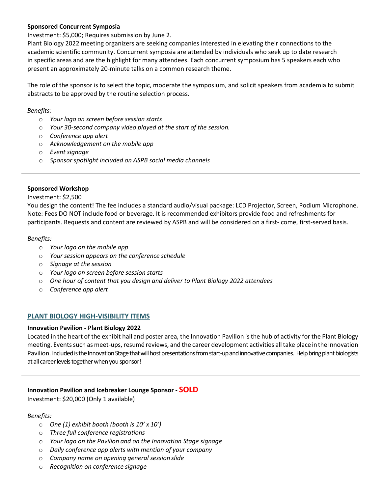#### **Sponsored Concurrent Symposia**

Investment: \$5,000; Requires submission by June 2.

Plant Biology 2022 meeting organizers are seeking companies interested in elevating their connections to the academic scientific community. Concurrent symposia are attended by individuals who seek up to date research in specific areas and are the highlight for many attendees. Each concurrent symposium has 5 speakers each who present an approximately 20-minute talks on a common research theme.

The role of the sponsor is to select the topic, moderate the symposium, and solicit speakers from academia to submit abstracts to be approved by the routine selection process.

#### *Benefits:*

- o *Your logo on screen before session starts*
- o *Your 30-second company video played at the start of the session.*
- o *Conference app alert*
- o *Acknowledgement on the mobile app*
- o *Event signage*
- o *Sponsor spotlight included on ASPB social media channels*

#### **Sponsored Workshop**

Investment: \$2,500

You design the content! The fee includes a standard audio/visual package: LCD Projector, Screen, Podium Microphone. Note: Fees DO NOT include food or beverage. It is recommended exhibitors provide food and refreshments for participants. Requests and content are reviewed by ASPB and will be considered on a first- come, first-served basis.

#### *Benefits:*

- o *Your logo on the mobile app*
- o *Your session appears on the conference schedule*
- o *Signage at the session*
- o *Your logo on screen before session starts*
- o *One hour of content that you design and deliver to Plant Biology 2022 attendees*
- o *Conference app alert*

#### **PLANT BIOLOGY HIGH-VISIBILITY ITEMS**

#### **Innovation Pavilion - Plant Biology 2022**

Located in the heart of the exhibit hall and poster area, the Innovation Pavilion is the hub of activity for the Plant Biology meeting. Events such as meet-ups, resumé reviews, and the career development activities all take place in the Innovation Pavilion. Included is the Innovation Stage that will host presentations from start-up and innovative companies. Help bring plant biologists at all career levels together when you sponsor!

#### **Innovation Pavilion and Icebreaker Lounge Sponsor - SOLD**

Investment: \$20,000 (Only 1 available)

- o *One (1) exhibit booth (booth is 10' x 10')*
- o *Three full conference registrations*
- o *Your logo on the Pavilion and on the Innovation Stage signage*
- o *Daily conference app alerts with mention of your company*
- o *Company name on opening general session slide*
- o *Recognition on conference signage*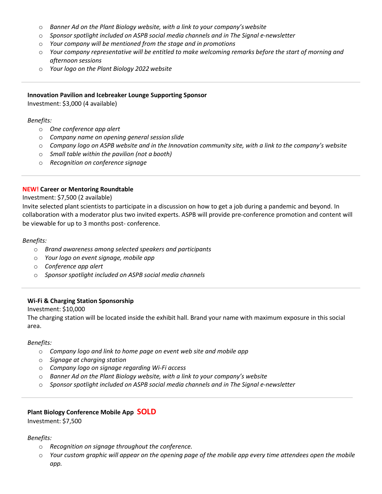- o *Banner Ad on the Plant Biology website, with a link to your company'swebsite*
- o *Sponsor spotlight included on ASPB social media channels and in The Signal e-newsletter*
- o *Your company will be mentioned from the stage and in promotions*
- o *Your company representative will be entitled to make welcoming remarks before the start of morning and afternoon sessions*
- o *Your logo on the Plant Biology 2022 website*

#### **Innovation Pavilion and Icebreaker Lounge Supporting Sponsor**

Investment: \$3,000 (4 available)

#### *Benefits:*

- o *One conference app alert*
- o *Company name on opening general session slide*
- o *Company logo on ASPB website and in the Innovation community site, with a link to the company's website*
- o *Small table within the pavilion (not a booth)*
- o *Recognition on conference signage*

#### **NEW! Career or Mentoring Roundtable**

#### Investment: \$7,500 (2 available)

Invite selected plant scientists to participate in a discussion on how to get a job during a pandemic and beyond. In collaboration with a moderator plus two invited experts. ASPB will provide pre-conference promotion and content will be viewable for up to 3 months post- conference.

#### *Benefits:*

- o *Brand awareness among selected speakers and participants*
- o *Your logo on event signage, mobile app*
- o *Conference app alert*
- o *Sponsor spotlight included on ASPB social media channels*

#### **Wi-Fi & Charging Station Sponsorship**

#### Investment: \$10,000

The charging station will be located inside the exhibit hall. Brand your name with maximum exposure in this social area.

#### *Benefits:*

- o *Company logo and link to home page on event web site and mobile app*
- o *Signage at charging station*
- o *Company logo on signage regarding Wi-Fi access*
- o *Banner Ad on the Plant Biology website, with a link to your company's website*
- o *Sponsor spotlight included on ASPB social media channels and in The Signal e-newsletter*

#### **Plant Biology Conference Mobile App SOLD**

Investment: \$7,500

- o *Recognition on signage throughout the conference.*
- o *Your custom graphic will appear on the opening page of the mobile app every time attendees open the mobile app.*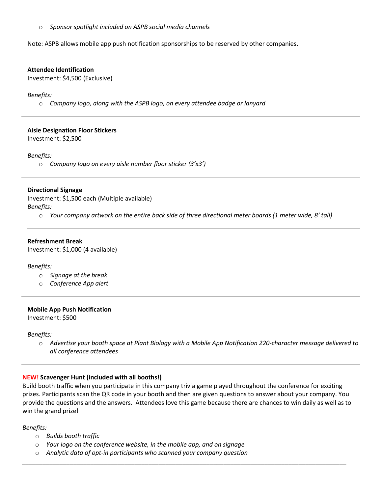o *Sponsor spotlight included on ASPB social media channels* 

Note: ASPB allows mobile app push notification sponsorships to be reserved by other companies.

#### **Attendee Identification**

Investment: \$4,500 (Exclusive)

#### *Benefits:*

o *Company logo, along with the ASPB logo, on every attendee badge or lanyard*

#### **Aisle Designation Floor Stickers**

Investment: \$2,500

#### *Benefits:*

o *Company logo on every aisle number floor sticker (3'x3')*

#### **Directional Signage**

Investment: \$1,500 each (Multiple available) *Benefits:*

o *Your company artwork on the entire back side of three directional meter boards (1 meter wide, 8' tall)*

#### **Refreshment Break**

Investment: \$1,000 (4 available)

#### *Benefits:*

- o *Signage at the break*
- o *Conference App alert*

#### **Mobile App Push Notification**

Investment: \$500

#### *Benefits:*

o *Advertise your booth space at Plant Biology with a Mobile App Notification 220-character message delivered to all conference attendees*

#### **NEW! Scavenger Hunt (included with all booths!)**

Build booth traffic when you participate in this company trivia game played throughout the conference for exciting prizes. Participants scan the QR code in your booth and then are given questions to answer about your company. You provide the questions and the answers. Attendees love this game because there are chances to win daily as well as to win the grand prize!

*\_\_\_\_\_\_\_\_\_\_\_\_\_\_\_\_\_\_\_\_\_\_\_\_\_\_\_\_\_\_\_\_\_\_\_\_\_\_\_\_\_\_\_\_\_\_\_\_\_\_\_\_\_\_\_\_\_\_\_\_\_\_\_\_\_\_\_\_\_\_\_\_\_\_\_\_\_\_\_\_\_\_\_\_\_\_\_\_\_\_\_\_\_\_\_*

- o *Builds booth traffic*
- o *Your logo on the conference website, in the mobile app, and on signage*
- o *Analytic data of opt-in participants who scanned your company question*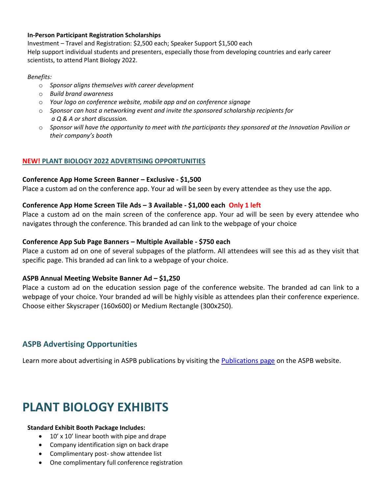#### **In-Person Participant Registration Scholarships**

Investment – Travel and Registration: \$2,500 each; Speaker Support \$1,500 each Help support individual students and presenters, especially those from developing countries and early career scientists, to attend Plant Biology 2022.

#### *Benefits:*

- o *Sponsor aligns themselves with career development*
- o *Build brand awareness*
- o *Your logo on conference website, mobile app and on conference signage*
- o *Sponsor can host a networking event and invite the sponsored scholarship recipients for a Q & A or short discussion.*
- o *Sponsor will have the opportunity to meet with the participants they sponsored at the Innovation Pavilion or their company's booth*

#### **NEW! PLANT BIOLOGY 2022 ADVERTISING OPPORTUNITIES**

#### **Conference App Home Screen Banner – Exclusive - \$1,500**

Place a custom ad on the conference app. Your ad will be seen by every attendee as they use the app.

#### **Conference App Home Screen Tile Ads – 3 Available - \$1,000 each Only 1 left**

Place a custom ad on the main screen of the conference app. Your ad will be seen by every attendee who navigates through the conference. This branded ad can link to the webpage of your choice

#### **Conference App Sub Page Banners – Multiple Available - \$750 each**

Place a custom ad on one of several subpages of the platform. All attendees will see this ad as they visit that specific page. This branded ad can link to a webpage of your choice.

#### **ASPB Annual Meeting Website Banner Ad – \$1,250**

Place a custom ad on the education session page of the conference website. The branded ad can link to a webpage of your choice. Your branded ad will be highly visible as attendees plan their conference experience. Choose either Skyscraper (160x600) or Medium Rectangle (300x250).

#### **ASPB Advertising Opportunities**

Learn more about advertising in ASPB publications by visiting the [Publications page](https://aspb.org/publications/) on the ASPB website.

# **PLANT BIOLOGY EXHIBITS**

#### **Standard Exhibit Booth Package Includes:**

- 10' x 10' linear booth with pipe and drape
- Company identification sign on back drape
- Complimentary post- show attendee list
- One complimentary full conference registration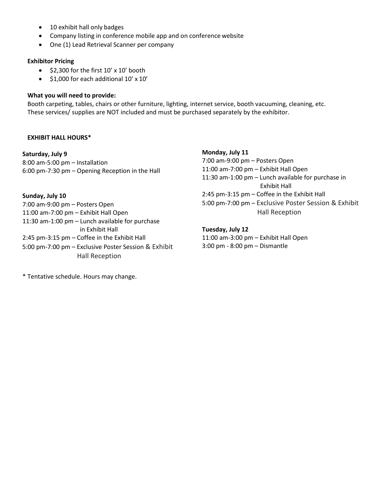- 10 exhibit hall only badges
- Company listing in conference mobile app and on conference website
- One (1) Lead Retrieval Scanner per company

#### **Exhibitor Pricing**

- \$2,300 for the first 10' x 10' booth
- \$1,000 for each additional 10' x 10'

#### **What you will need to provide:**

Booth carpeting, tables, chairs or other furniture, lighting, internet service, booth vacuuming, cleaning, etc. These services/ supplies are NOT included and must be purchased separately by the exhibitor.

#### **EXHIBIT HALL HOURS\***

**Saturday, July 9** 8:00 am-5:00 pm – Installation 6:00 pm-7:30 pm – Opening Reception in the Hall

**Sunday, July 10** 7:00 am-9:00 pm – Posters Open 11:00 am-7:00 pm – Exhibit Hall Open 11:30 am-1:00 pm – Lunch available for purchase in Exhibit Hall 2:45 pm-3:15 pm – Coffee in the Exhibit Hall 5:00 pm-7:00 pm – Exclusive Poster Session & Exhibit Hall Reception

**Monday, July 11** 7:00 am-9:00 pm – Posters Open 11:00 am-7:00 pm – Exhibit Hall Open 11:30 am-1:00 pm – Lunch available for purchase in Exhibit Hall 2:45 pm-3:15 pm – Coffee in the Exhibit Hall 5:00 pm-7:00 pm – Exclusive Poster Session & Exhibit Hall Reception

#### **Tuesday, July 12**

11:00 am-3:00 pm – Exhibit Hall Open 3:00 pm - 8:00 pm – Dismantle

\* Tentative schedule. Hours may change.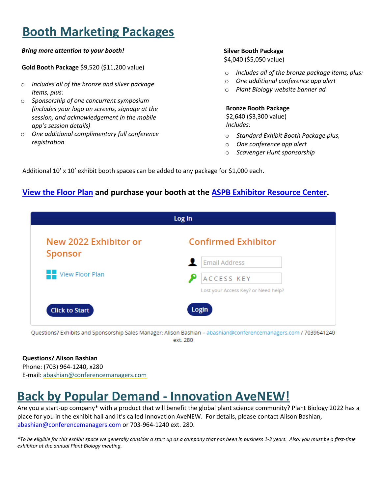# **Booth Marketing Packages**

#### *Bring more attention to your booth!*

**Gold Booth Package** \$9,520 (\$11,200 value)

- o *Includes all of the bronze and silver package items, plus:*
- o *Sponsorship of one concurrent symposium (includes your logo on screens, signage at the session, and acknowledgement in the mobile app's session details)*
- o *One additional complimentary full conference registration*

#### **Silver Booth Package**

\$4,040 (\$5,050 value)

- o *Includes all of the bronze package items, plus:*
- o *One additional conference app alert*
- o *Plant Biology website banner ad*

#### **Bronze Booth Package**

\$2,640 (\$3,300 value) *Includes:*

- o *Standard Exhibit Booth Package plus,*
- o *One conference app alert*
- o *Scavenger Hunt sponsorship*

Additional 10' x 10' exhibit booth spaces can be added to any package for \$1,000 each.

#### **[View the Floor Plan](https://www.conferenceharvester.com/floorplan/floorplan.asp?EventKey=ZWQLLYGJ) and purchase your booth at the [ASPB Exhibitor Resource Center.](https://www.conferenceharvester.com/harvester2expw/login.asp?EventKey=ZWQLLYGJ&UserEmail=&UserPassword=&User=&BoothNumber=)**

| Log In                                       |  |  |  |
|----------------------------------------------|--|--|--|
| <b>Confirmed Exhibitor</b>                   |  |  |  |
| <b>Email Address</b><br>ACCESS KEY           |  |  |  |
| Lost your Access Key? or Need help?<br>Login |  |  |  |
|                                              |  |  |  |

Questions? Exhibits and Sponsorship Sales Manager: Alison Bashian - abashian@conferencemanagers.com / 7039641240 ext. 280

**Questions? Alison Bashian** Phone: (703) 964-1240, x280 E-mail: [abashian@conferencemanagers.com](mailto:abashian@conferencemanagers.com)

# **Back by Popular Demand - Innovation AveNEW!**

Are you a start-up company\* with a product that will benefit the global plant science community? Plant Biology 2022 has a place for you in the exhibit hall and it's called Innovation AveNEW. For details, please contact Alison Bashian, [abashian@conferencemanagers.com](mailto:abashian@conferencemanagers.com) or 703-964-1240 ext. 280.

*\*To be eligible for this exhibit space we generally consider a start up as a company that has been in business 1-3 years. Also, you must be a first-time exhibitor at the annual Plant Biology meeting.*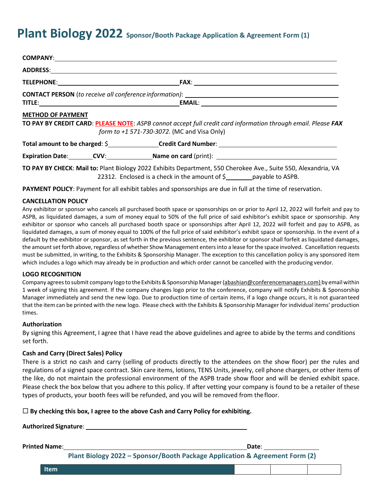## **Plant Biology 2022 Sponsor/Booth Package Application & Agreement Form (1)**

| <b>METHOD OF PAYMENT</b> | TO PAY BY CREDIT CARD: PLEASE NOTE: ASPB cannot accept full credit card information through email. Please FAX<br>form to +1 571-730-3072. (MC and Visa Only)                                                                  |
|--------------------------|-------------------------------------------------------------------------------------------------------------------------------------------------------------------------------------------------------------------------------|
|                          | Total amount to be charged: \$ ________________Credit Card Number: __________________________________                                                                                                                         |
|                          | Expiration Date: CVV: Name on card (print): COVE CAPS COVERS COVERS COVERS COVERS COVERS COVERS COVERS COVERS COVERS COVERS COVERS COVERS COVERS COVERS COVERS COVERS COVERS COVERS COVERS COVERS COVERS COVERS COVERS COVERS |
|                          | TO PAY BY CHECK: Mail to: Plant Biology 2022 Exhibits Department, 550 Cherokee Ave., Suite 550, Alexandria, VA<br>22312. Enclosed is a check in the amount of \$ _______ payable to ASPB.                                     |

**PAYMENT POLICY**: Payment for all exhibit tables and sponsorships are due in full at the time of reservation.

#### **CANCELLATION POLICY**

Any exhibitor or sponsor who cancels all purchased booth space or sponsorships on or prior to April 12, 2022 will forfeit and pay to ASPB, as liquidated damages, a sum of money equal to 50% of the full price of said exhibitor's exhibit space or sponsorship. Any exhibitor or sponsor who cancels all purchased booth space or sponsorships after April 12, 2022 will forfeit and pay to ASPB, as liquidated damages, a sum of money equal to 100% of the full price of said exhibitor's exhibit space or sponsorship. In the event of a default by the exhibitor or sponsor, as set forth in the previous sentence, the exhibitor or sponsor shall forfeit as liquidated damages, the amount set forth above, regardless of whether Show Management enters into a lease for the space involved. Cancellation requests must be submitted, in writing, to the Exhibits & Sponsorship Manager. The exception to this cancellation policy is any sponsored item which includes a logo which may already be in production and which order cannot be cancelled with the producing vendor.

#### **LOGO RECOGNITION**

Company agrees to submit company logo to the Exhibits & Sponsorship Manager [\(abashian@conferencemanagers.com\)](mailto:abashian@conferencemanagers.com)) by email within 1 week of signing this agreement. If the company changes logo prior to the conference, company will notify Exhibits & Sponsorship Manager immediately and send the new logo. Due to production time of certain items, if a logo change occurs, it is not guaranteed that the item can be printed with the new logo. Please check with the Exhibits & Sponsorship Manager for individual items' production times.

#### **Authorization**

By signing this Agreement, I agree that I have read the above guidelines and agree to abide by the terms and conditions set forth.

#### **Cash and Carry (Direct Sales) Policy**

There is a strict no cash and carry (selling of products directly to the attendees on the show floor) per the rules and regulations of a signed space contract. Skin care items, lotions, TENS Units, jewelry, cell phone chargers, or other items of the like, do not maintain the professional environment of the ASPB trade show floor and will be denied exhibit space. Please check the box below that you adhere to this policy. If after vetting your company is found to be a retailer of these types of products, your booth fees will be refunded, and you will be removed from thefloor.

#### **By checking this box, I agree to the above Cash and Carry Policy for exhibiting.**

#### **Authorized Signature**:

**Printed Name**: **Date**:

**Plant Biology 2022 – Sponsor/Booth Package Application & Agreement Form (2)**